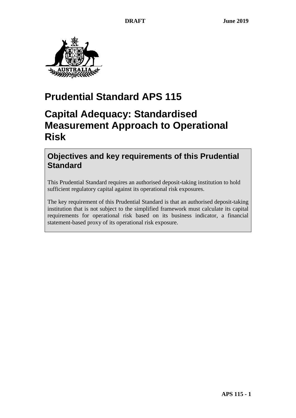

# **Prudential Standard APS 115**

# **Capital Adequacy: Standardised Measurement Approach to Operational Risk**

## **Objectives and key requirements of this Prudential Standard**

This Prudential Standard requires an authorised deposit-taking institution to hold sufficient regulatory capital against its operational risk exposures.

The key requirement of this Prudential Standard is that an authorised deposit-taking institution that is not subject to the simplified framework must calculate its capital requirements for operational risk based on its business indicator, a financial statement-based proxy of its operational risk exposure.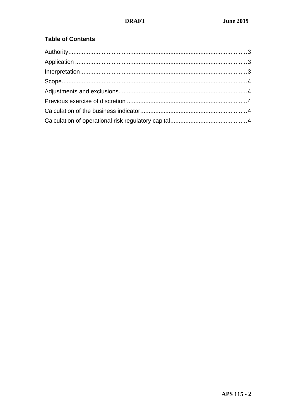## **Table of Contents**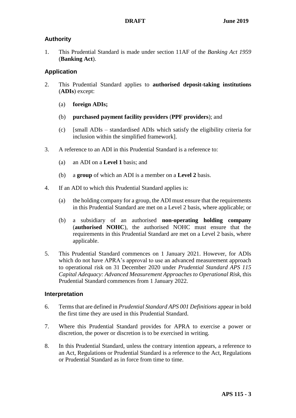### <span id="page-2-0"></span>**Authority**

1. This Prudential Standard is made under section 11AF of the *Banking Act 1959*  (**Banking Act**).

### <span id="page-2-1"></span>**Application**

- 2. This Prudential Standard applies to **authorised deposit-taking institutions** (**ADIs**) except:
	- (a) **foreign ADIs;**
	- (b) **purchased payment facility providers** (**PPF providers**); and
	- (c) [small ADIs standardised ADIs which satisfy the eligibility criteria for inclusion within the simplified framework].
- 3. A reference to an ADI in this Prudential Standard is a reference to:
	- (a) an ADI on a **Level 1** basis; and
	- (b) a **group** of which an ADI is a member on a **Level 2** basis.
- 4. If an ADI to which this Prudential Standard applies is:
	- (a) the holding company for a group, the ADI must ensure that the requirements in this Prudential Standard are met on a Level 2 basis, where applicable; or
	- (b) a subsidiary of an authorised **non-operating holding company** (**authorised NOHC**), the authorised NOHC must ensure that the requirements in this Prudential Standard are met on a Level 2 basis, where applicable.
- 5. This Prudential Standard commences on 1 January 2021. However, for ADIs which do not have APRA's approval to use an advanced measurement approach to operational risk on 31 December 2020 under *Prudential Standard APS 115 Capital Adequacy: Advanced Measurement Approaches to Operational Risk,* this Prudential Standard commences from 1 January 2022.

### <span id="page-2-2"></span>**Interpretation**

- 6. Terms that are defined in *Prudential Standard APS 001 Definitions* appear in bold the first time they are used in this Prudential Standard.
- 7. Where this Prudential Standard provides for APRA to exercise a power or discretion, the power or discretion is to be exercised in writing.
- 8. In this Prudential Standard, unless the contrary intention appears, a reference to an Act, Regulations or Prudential Standard is a reference to the Act, Regulations or Prudential Standard as in force from time to time.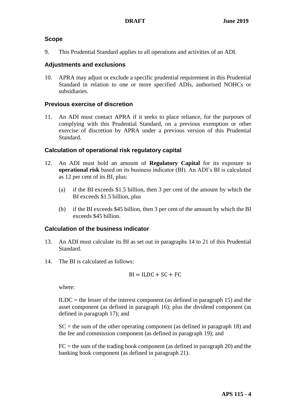#### <span id="page-3-0"></span>**Scope**

9. This Prudential Standard applies to all operations and activities of an ADI.

#### <span id="page-3-1"></span>**Adjustments and exclusions**

10. APRA may adjust or exclude a specific prudential requirement in this Prudential Standard in relation to one or more specified ADIs, authorised NOHCs or subsidiaries.

### <span id="page-3-2"></span>**Previous exercise of discretion**

11. An ADI must contact APRA if it seeks to place reliance, for the purposes of complying with this Prudential Standard, on a previous exemption or other exercise of discretion by APRA under a previous version of this Prudential Standard.

#### <span id="page-3-3"></span>**Calculation of operational risk regulatory capital**

- 12. An ADI must hold an amount of **Regulatory Capital** for its exposure to **operational risk** based on its business indicator (BI). An ADI's BI is calculated as 12 per cent of its BI, plus:
	- (a) if the BI exceeds \$1.5 billion, then 3 per cent of the amount by which the BI exceeds \$1.5 billion, plus
	- (b) if the BI exceeds \$45 billion, then 3 per cent of the amount by which the BI exceeds \$45 billion.

#### **Calculation of the business indicator**

- 13. An ADI must calculate its BI as set out in paragraphs [14](#page-3-4) to [21](#page-5-0) of this Prudential Standard.
- <span id="page-3-4"></span>14. The BI is calculated as follows:

$$
BI = ILDC + SC + FC
$$

where:

 $ILDC =$  the lesser of the interest component (as defined in paragraph [15\)](#page-4-0) and the asset component (as defined in paragraph [16\)](#page-4-1); plus the dividend component (as defined in paragraph [17\)](#page-4-2); and

 $SC =$  the sum of the other operating component (as defined in paragraph [18\)](#page-4-3) and the fee and commission component (as defined in paragraph [19\)](#page-4-4); and

 $FC =$  the sum of the trading book component (as defined in paragraph [20\)](#page-5-1) and the banking book component (as defined in paragraph [21\)](#page-5-0).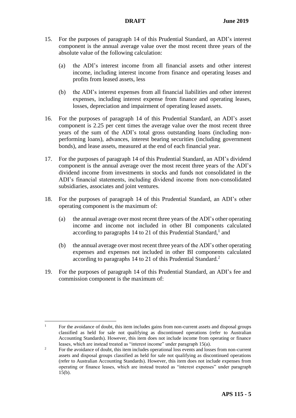- <span id="page-4-5"></span><span id="page-4-0"></span>15. For the purposes of paragraph [14](#page-3-4) of this Prudential Standard, an ADI's interest component is the annual average value over the most recent three years of the absolute value of the following calculation:
	- (a) the ADI's interest income from all financial assets and other interest income, including interest income from finance and operating leases and profits from leased assets, less
	- (b) the ADI's interest expenses from all financial liabilities and other interest expenses, including interest expense from finance and operating leases, losses, depreciation and impairment of operating leased assets.
- <span id="page-4-6"></span><span id="page-4-1"></span>16. For the purposes of paragraph [14](#page-3-4) of this Prudential Standard, an ADI's asset component is 2.25 per cent times the average value over the most recent three years of the sum of the ADI's total gross outstanding loans (including nonperforming loans), advances, interest bearing securities (including government bonds), and lease assets, measured at the end of each financial year.
- <span id="page-4-2"></span>17. For the purposes of paragraph [14](#page-3-4) of this Prudential Standard, an ADI's dividend component is the annual average over the most recent three years of the ADI's dividend income from investments in stocks and funds not consolidated in the ADI's financial statements, including dividend income from non-consolidated subsidiaries, associates and joint ventures.
- <span id="page-4-3"></span>18. For the purposes of paragraph [14](#page-3-4) of this Prudential Standard, an ADI's other operating component is the maximum of:
	- (a) the annual average over most recent three years of the ADI's other operating income and income not included in other BI components calculated according to paragraphs [14](#page-3-4) to [21](#page-5-0) of this Prudential Standard,<sup>1</sup> and
	- (b) the annual average over most recent three years of the ADI's other operating expenses and expenses not included in other BI components calculated according to paragraphs [14](#page-3-4) to [21](#page-5-0) of this Prudential Standard. 2
- <span id="page-4-4"></span>19. For the purposes of paragraph [14](#page-3-4) of this Prudential Standard, an ADI's fee and commission component is the maximum of:

 $\bar{1}$ <sup>1</sup> For the avoidance of doubt, this item includes gains from non-current assets and disposal groups classified as held for sale not qualifying as discontinued operations (refer to Australian Accounting Standards). However, this item does not include income from operating or finance leases, which are instead treated as "interest income" under paragrap[h 15\(a\).](#page-4-5)

<sup>&</sup>lt;sup>2</sup> For the avoidance of doubt, this item includes operational loss events and losses from non-current assets and disposal groups classified as held for sale not qualifying as discontinued operations (refer to Australian Accounting Standards). However, this item does not include expenses from operating or finance leases, which are instead treated as "interest expenses" under paragraph  $15(b)$ .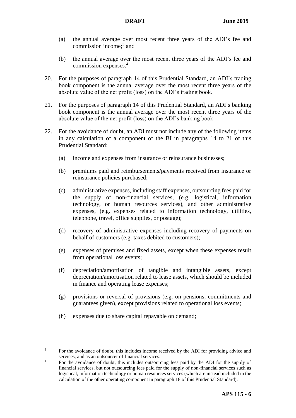- (a) the annual average over most recent three years of the ADI's fee and commission income; 3 and
- (b) the annual average over the most recent three years of the ADI's fee and commission expenses. 4
- <span id="page-5-1"></span>20. For the purposes of paragraph [14](#page-3-4) of this Prudential Standard, an ADI's trading book component is the annual average over the most recent three years of the absolute value of the net profit (loss) on the ADI's trading book.
- <span id="page-5-0"></span>21. For the purposes of paragraph [14](#page-3-4) of this Prudential Standard, an ADI's banking book component is the annual average over the most recent three years of the absolute value of the net profit (loss) on the ADI's banking book.
- 22. For the avoidance of doubt, an ADI must not include any of the following items in any calculation of a component of the BI in paragraphs [14](#page-3-4) to [21](#page-5-0) of this Prudential Standard:
	- (a) income and expenses from insurance or reinsurance businesses;
	- (b) premiums paid and reimbursements/payments received from insurance or reinsurance policies purchased;
	- (c) administrative expenses, including staff expenses, outsourcing fees paid for the supply of non-financial services, (e.g. logistical, information technology, or human resources services), and other administrative expenses, (e.g. expenses related to information technology, utilities, telephone, travel, office supplies, or postage);
	- (d) recovery of administrative expenses including recovery of payments on behalf of customers (e.g. taxes debited to customers);
	- (e) expenses of premises and fixed assets, except when these expenses result from operational loss events;
	- (f) depreciation/amortisation of tangible and intangible assets, except depreciation/amortisation related to lease assets, which should be included in finance and operating lease expenses;
	- (g) provisions or reversal of provisions (e.g. on pensions, commitments and guarantees given), except provisions related to operational loss events;
	- (h) expenses due to share capital repayable on demand;

 $\overline{a}$ 

<sup>&</sup>lt;sup>3</sup> For the avoidance of doubt, this includes income received by the ADI for providing advice and services, and as an outsourcer of financial services.

<sup>&</sup>lt;sup>4</sup> For the avoidance of doubt, this includes outsourcing fees paid by the ADI for the supply of financial services, but not outsourcing fees paid for the supply of non-financial services such as logistical, information technology or human resources services (which are instead included in the calculation of the other operating component in paragraph 18 of this Prudential Standard).